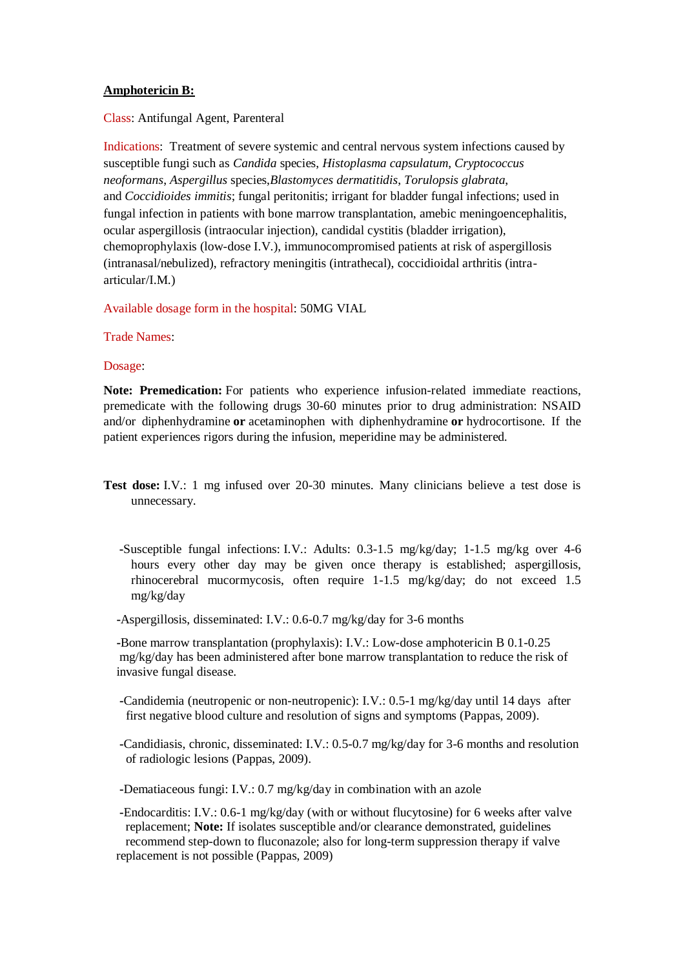## **Amphotericin B:**

Class: Antifungal Agent, Parenteral

Indications: Treatment of severe systemic and central nervous system infections caused by susceptible fungi such as *Candida* species, *Histoplasma capsulatum*, *Cryptococcus neoformans*, *Aspergillus* species,*Blastomyces dermatitidis*, *Torulopsis glabrata*, and *Coccidioides immitis*; fungal peritonitis; irrigant for bladder fungal infections; used in fungal infection in patients with bone marrow transplantation, amebic meningoencephalitis, ocular aspergillosis (intraocular injection), candidal cystitis (bladder irrigation), chemoprophylaxis (low-dose I.V.), immunocompromised patients at risk of aspergillosis (intranasal/nebulized), refractory meningitis (intrathecal), coccidioidal arthritis (intraarticular/I.M.)

Available dosage form in the hospital: 50MG VIAL

Trade Names:

Dosage:

**Note: Premedication:** For patients who experience infusion-related immediate reactions, premedicate with the following drugs 30-60 minutes prior to drug administration: NSAID and/or diphenhydramine **or** acetaminophen with diphenhydramine **or** hydrocortisone. If the patient experiences rigors during the infusion, meperidine may be administered.

- **Test dose:** I.V.: 1 mg infused over 20-30 minutes. Many clinicians believe a test dose is unnecessary.
	- **-**Susceptible fungal infections: I.V.: Adults: 0.3-1.5 mg/kg/day; 1-1.5 mg/kg over 4-6 hours every other day may be given once therapy is established; aspergillosis, rhinocerebral mucormycosis, often require 1-1.5 mg/kg/day; do not exceed 1.5 mg/kg/day

 **-**Aspergillosis, disseminated: I.V.: 0.6-0.7 mg/kg/day for 3-6 months

 **-**Bone marrow transplantation (prophylaxis): I.V.: Low-dose amphotericin B 0.1-0.25 mg/kg/day has been administered after bone marrow transplantation to reduce the risk of invasive fungal disease.

 **-**Candidemia (neutropenic or non-neutropenic): I.V.: 0.5-1 mg/kg/day until 14 days after first negative blood culture and resolution of signs and symptoms (Pappas, 2009).

 **-**Candidiasis, chronic, disseminated: I.V.: 0.5-0.7 mg/kg/day for 3-6 months and resolution of radiologic lesions (Pappas, 2009).

 **-**Dematiaceous fungi: I.V.: 0.7 mg/kg/day in combination with an azole

 **-**Endocarditis: I.V.: 0.6-1 mg/kg/day (with or without flucytosine) for 6 weeks after valve replacement; **Note:** If isolates susceptible and/or clearance demonstrated, guidelines recommend step-down to fluconazole; also for long-term suppression therapy if valve replacement is not possible (Pappas, 2009)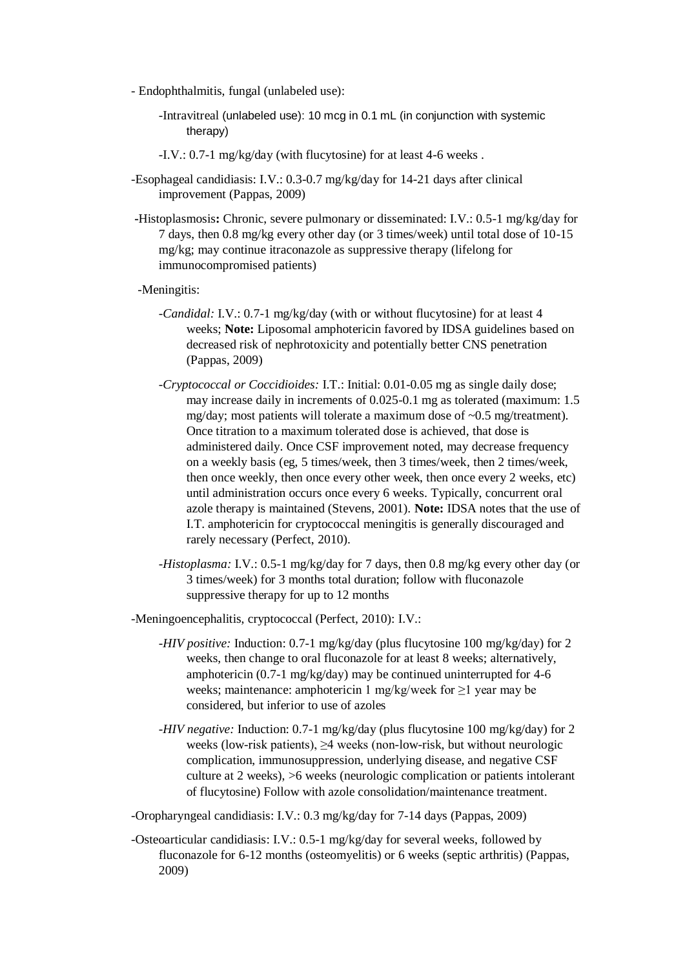- Endophthalmitis, fungal (unlabeled use):
	- -Intravitreal (unlabeled use): 10 mcg in 0.1 mL (in conjunction with systemic therapy)
	- -I.V.: 0.7-1 mg/kg/day (with flucytosine) for at least 4-6 weeks .
- -Esophageal candidiasis: I.V.: 0.3-0.7 mg/kg/day for 14-21 days after clinical improvement (Pappas, 2009)
- **-**Histoplasmosis**:** Chronic, severe pulmonary or disseminated: I.V.: 0.5-1 mg/kg/day for 7 days, then 0.8 mg/kg every other day (or 3 times/week) until total dose of 10-15 mg/kg; may continue itraconazole as suppressive therapy (lifelong for immunocompromised patients)
- -Meningitis:
	- *-Candidal:* I.V.: 0.7-1 mg/kg/day (with or without flucytosine) for at least 4 weeks; **Note:** Liposomal amphotericin favored by IDSA guidelines based on decreased risk of nephrotoxicity and potentially better CNS penetration (Pappas, 2009)
	- *-Cryptococcal or Coccidioides:* I.T.: Initial: 0.01-0.05 mg as single daily dose; may increase daily in increments of 0.025-0.1 mg as tolerated (maximum: 1.5 mg/day; most patients will tolerate a maximum dose of ~0.5 mg/treatment). Once titration to a maximum tolerated dose is achieved, that dose is administered daily. Once CSF improvement noted, may decrease frequency on a weekly basis (eg, 5 times/week, then 3 times/week, then 2 times/week, then once weekly, then once every other week, then once every 2 weeks, etc) until administration occurs once every 6 weeks. Typically, concurrent oral azole therapy is maintained (Stevens, 2001). **Note:** IDSA notes that the use of I.T. amphotericin for cryptococcal meningitis is generally discouraged and rarely necessary (Perfect, 2010).
	- *-Histoplasma:* I.V.: 0.5-1 mg/kg/day for 7 days, then 0.8 mg/kg every other day (or 3 times/week) for 3 months total duration; follow with fluconazole suppressive therapy for up to 12 months

-Meningoencephalitis, cryptococcal (Perfect, 2010): I.V.:

- *-HIV positive:* Induction: 0.7-1 mg/kg/day (plus flucytosine 100 mg/kg/day) for 2 weeks, then change to oral fluconazole for at least 8 weeks; alternatively, amphotericin (0.7-1 mg/kg/day) may be continued uninterrupted for 4-6 weeks; maintenance: amphotericin 1 mg/kg/week for ≥1 year may be considered, but inferior to use of azoles
- *-HIV negative:* Induction: 0.7-1 mg/kg/day (plus flucytosine 100 mg/kg/day) for 2 weeks (low-risk patients), ≥4 weeks (non-low-risk, but without neurologic complication, immunosuppression, underlying disease, and negative CSF culture at 2 weeks), >6 weeks (neurologic complication or patients intolerant of flucytosine) Follow with azole consolidation/maintenance treatment.

-Oropharyngeal candidiasis: I.V.: 0.3 mg/kg/day for 7-14 days (Pappas, 2009)

-Osteoarticular candidiasis: I.V.: 0.5-1 mg/kg/day for several weeks, followed by fluconazole for 6-12 months (osteomyelitis) or 6 weeks (septic arthritis) (Pappas, 2009)